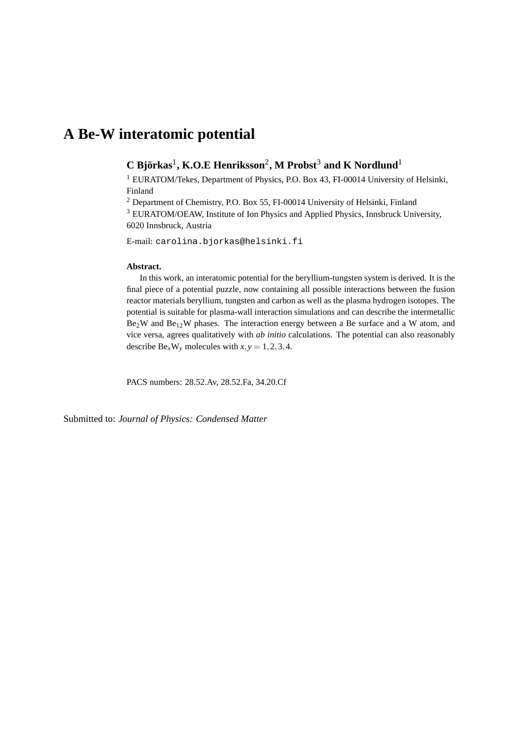# **A Be-W interatomic potential**

# **C Bjorkas ¨** 1 **, K.O.E Henriksson**<sup>2</sup> **, M Probst**<sup>3</sup> **and K Nordlund**<sup>1</sup>

<sup>1</sup> EURATOM/Tekes, Department of Physics, P.O. Box 43, FI-00014 University of Helsinki, Finland

<sup>2</sup> Department of Chemistry, P.O. Box 55, FI-00014 University of Helsinki, Finland

<sup>3</sup> EURATOM/OEAW, Institute of Ion Physics and Applied Physics, Innsbruck University, 6020 Innsbruck, Austria

E-mail: carolina.bjorkas@helsinki.fi

#### **Abstract.**

In this work, an interatomic potential for the beryllium-tungsten system is derived. It is the final piece of a potential puzzle, now containing all possible interactions between the fusion reactor materials beryllium, tungsten and carbon as well as the plasma hydrogen isotopes. The potential is suitable for plasma-wall interaction simulations and can describe the intermetallic Be<sub>2</sub>W and Be<sub>12</sub>W phases. The interaction energy between a Be surface and a W atom, and vice versa, agrees qualitatively with *ab initio* calculations. The potential can also reasonably describe  $Be_xW_y$  molecules with  $x, y = 1, 2, 3, 4$ .

PACS numbers: 28.52.Av, 28.52.Fa, 34.20.Cf

Submitted to: *Journal of Physics: Condensed Matter*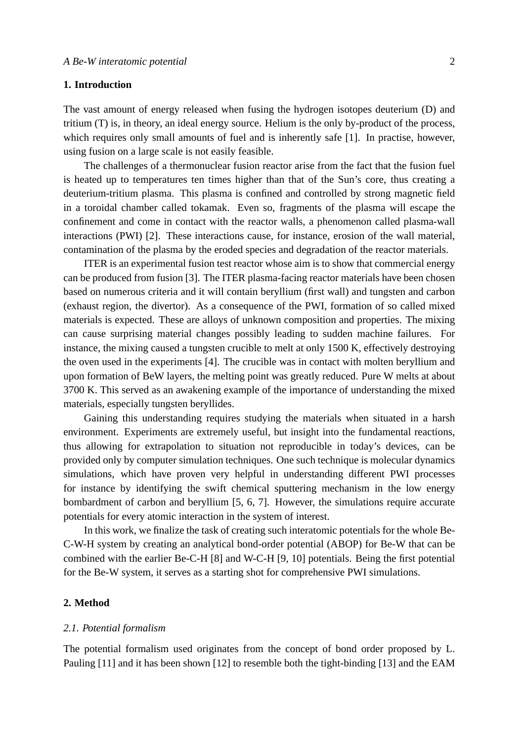# **1. Introduction**

The vast amount of energy released when fusing the hydrogen isotopes deuterium (D) and tritium (T) is, in theory, an ideal energy source. Helium is the only by-product of the process, which requires only small amounts of fuel and is inherently safe [1]. In practise, however, using fusion on a large scale is not easily feasible.

The challenges of a thermonuclear fusion reactor arise from the fact that the fusion fuel is heated up to temperatures ten times higher than that of the Sun's core, thus creating a deuterium-tritium plasma. This plasma is confined and controlled by strong magnetic field in a toroidal chamber called tokamak. Even so, fragments of the plasma will escape the confinement and come in contact with the reactor walls, a phenomenon called plasma-wall interactions (PWI) [2]. These interactions cause, for instance, erosion of the wall material, contamination of the plasma by the eroded species and degradation of the reactor materials.

ITER is an experimental fusion test reactor whose aim is to show that commercial energy can be produced from fusion [3]. The ITER plasma-facing reactor materials have been chosen based on numerous criteria and it will contain beryllium (first wall) and tungsten and carbon (exhaust region, the divertor). As a consequence of the PWI, formation of so called mixed materials is expected. These are alloys of unknown composition and properties. The mixing can cause surprising material changes possibly leading to sudden machine failures. For instance, the mixing caused a tungsten crucible to melt at only 1500 K, effectively destroying the oven used in the experiments [4]. The crucible was in contact with molten beryllium and upon formation of BeW layers, the melting point was greatly reduced. Pure W melts at about 3700 K. This served as an awakening example of the importance of understanding the mixed materials, especially tungsten beryllides.

Gaining this understanding requires studying the materials when situated in a harsh environment. Experiments are extremely useful, but insight into the fundamental reactions, thus allowing for extrapolation to situation not reproducible in today's devices, can be provided only by computer simulation techniques. One such technique is molecular dynamics simulations, which have proven very helpful in understanding different PWI processes for instance by identifying the swift chemical sputtering mechanism in the low energy bombardment of carbon and beryllium [5, 6, 7]. However, the simulations require accurate potentials for every atomic interaction in the system of interest.

In this work, we finalize the task of creating such interatomic potentials for the whole Be-C-W-H system by creating an analytical bond-order potential (ABOP) for Be-W that can be combined with the earlier Be-C-H [8] and W-C-H [9, 10] potentials. Being the first potential for the Be-W system, it serves as a starting shot for comprehensive PWI simulations.

## **2. Method**

#### *2.1. Potential formalism*

The potential formalism used originates from the concept of bond order proposed by L. Pauling [11] and it has been shown [12] to resemble both the tight-binding [13] and the EAM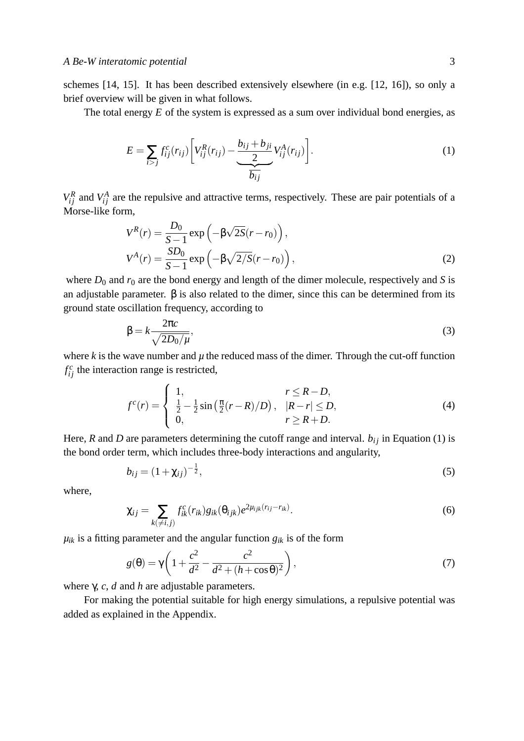schemes [14, 15]. It has been described extensively elsewhere (in e.g. [12, 16]), so only a brief overview will be given in what follows.

The total energy *E* of the system is expressed as a sum over individual bond energies, as

$$
E = \sum_{i>j} f_{ij}^c(r_{ij}) \left[ V_{ij}^R(r_{ij}) - \underbrace{\frac{b_{ij} + b_{ji}}{2} V_{ij}^A(r_{ij})}_{\overline{b_{ij}}} \right].
$$
 (1)

 $V_{ij}^R$  and  $V_{ij}^A$  are the repulsive and attractive terms, respectively. These are pair potentials of a Morse-like form,

$$
V^{R}(r) = \frac{D_{0}}{S-1} \exp\left(-\beta\sqrt{2S}(r-r_{0})\right),
$$
  
\n
$$
V^{A}(r) = \frac{SD_{0}}{S-1} \exp\left(-\beta\sqrt{2/S}(r-r_{0})\right),
$$
\n(2)

where  $D_0$  and  $r_0$  are the bond energy and length of the dimer molecule, respectively and *S* is an adjustable parameter.  $\beta$  is also related to the dimer, since this can be determined from its ground state oscillation frequency, according to

$$
\beta = k \frac{2\pi c}{\sqrt{2D_0/\mu}},\tag{3}
$$

where  $k$  is the wave number and  $\mu$  the reduced mass of the dimer. Through the cut-off function  $f_{ij}^c$  the interaction range is restricted,

$$
f^{c}(r) = \begin{cases} 1, & r \le R - D, \\ \frac{1}{2} - \frac{1}{2}\sin(\frac{\pi}{2}(r - R)/D), & |R - r| \le D, \\ 0, & r \ge R + D. \end{cases}
$$
(4)

Here, *R* and *D* are parameters determining the cutoff range and interval.  $b_{ij}$  in Equation (1) is the bond order term, which includes three-body interactions and angularity,

$$
b_{ij} = (1 + \chi_{ij})^{-\frac{1}{2}},\tag{5}
$$

where,

$$
\chi_{ij} = \sum_{k(\neq i,j)} f_{ik}^c(r_{ik}) g_{ik}(\theta_{ijk}) e^{2\mu_{ijk}(r_{ij} - r_{ik})}.
$$
\n(6)

 $\mu_{ik}$  is a fitting parameter and the angular function  $g_{ik}$  is of the form

$$
g(\theta) = \gamma \left( 1 + \frac{c^2}{d^2} - \frac{c^2}{d^2 + (h + \cos \theta)^2} \right),
$$
 (7)

where γ, *c*, *d* and *h* are adjustable parameters.

For making the potential suitable for high energy simulations, a repulsive potential was added as explained in the Appendix.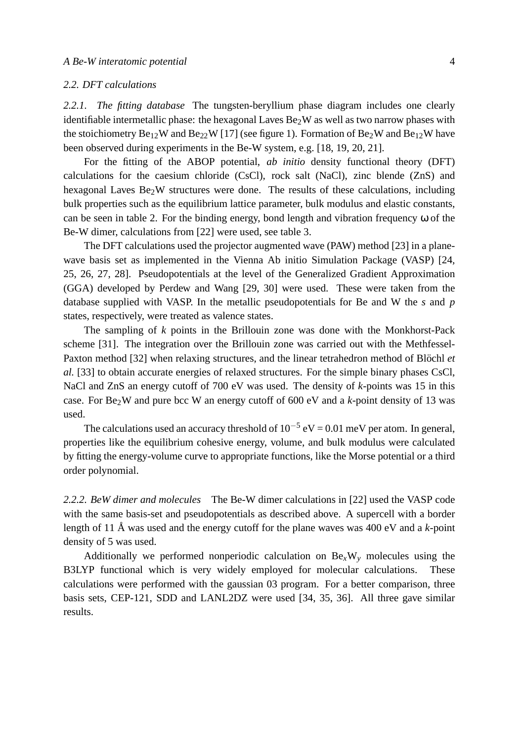## *2.2. DFT calculations*

*2.2.1. The fitting database* The tungsten-beryllium phase diagram includes one clearly identifiable intermetallic phase: the hexagonal Laves  $Be<sub>2</sub>W$  as well as two narrow phases with the stoichiometry  $Be_{12}W$  and  $Be_{22}W$  [17] (see figure 1). Formation of  $Be_{2}W$  and  $Be_{12}W$  have been observed during experiments in the Be-W system, e.g. [18, 19, 20, 21].

For the fitting of the ABOP potential, *ab initio* density functional theory (DFT) calculations for the caesium chloride (CsCl), rock salt (NaCl), zinc blende (ZnS) and hexagonal Laves  $Be<sub>2</sub>W$  structures were done. The results of these calculations, including bulk properties such as the equilibrium lattice parameter, bulk modulus and elastic constants, can be seen in table 2. For the binding energy, bond length and vibration frequency ω of the Be-W dimer, calculations from [22] were used, see table 3.

The DFT calculations used the projector augmented wave (PAW) method [23] in a planewave basis set as implemented in the Vienna Ab initio Simulation Package (VASP) [24, 25, 26, 27, 28]. Pseudopotentials at the level of the Generalized Gradient Approximation (GGA) developed by Perdew and Wang [29, 30] were used. These were taken from the database supplied with VASP. In the metallic pseudopotentials for Be and W the *s* and *p* states, respectively, were treated as valence states.

The sampling of *k* points in the Brillouin zone was done with the Monkhorst-Pack scheme [31]. The integration over the Brillouin zone was carried out with the Methfessel-Paxton method [32] when relaxing structures, and the linear tetrahedron method of Blöchl et *al.* [33] to obtain accurate energies of relaxed structures. For the simple binary phases CsCl, NaCl and ZnS an energy cutoff of 700 eV was used. The density of *k*-points was 15 in this case. For  $Be<sub>2</sub>W$  and pure bcc W an energy cutoff of 600 eV and a *k*-point density of 13 was used.

The calculations used an accuracy threshold of  $10^{-5}$  eV = 0.01 meV per atom. In general, properties like the equilibrium cohesive energy, volume, and bulk modulus were calculated by fitting the energy-volume curve to appropriate functions, like the Morse potential or a third order polynomial.

*2.2.2. BeW dimer and molecules* The Be-W dimer calculations in [22] used the VASP code with the same basis-set and pseudopotentials as described above. A supercell with a border length of 11 Å was used and the energy cutoff for the plane waves was  $400 \text{ eV}$  and a *k*-point density of 5 was used.

Additionally we performed nonperiodic calculation on  $Be_xW_y$  molecules using the B3LYP functional which is very widely employed for molecular calculations. These calculations were performed with the gaussian 03 program. For a better comparison, three basis sets, CEP-121, SDD and LANL2DZ were used [34, 35, 36]. All three gave similar results.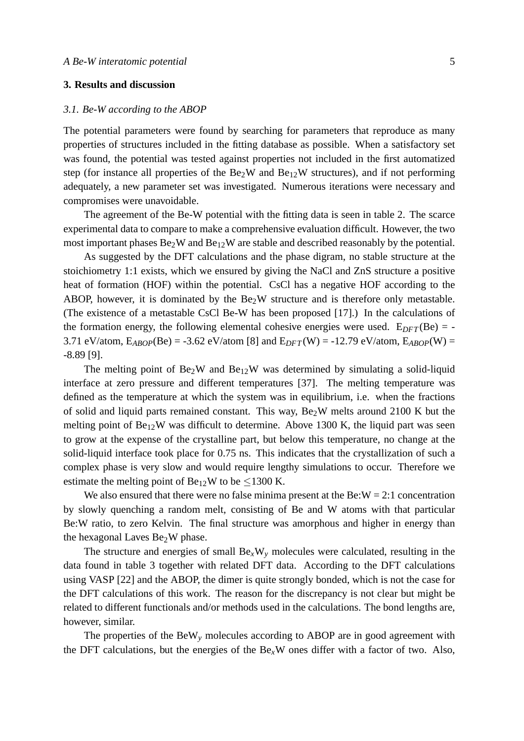# **3. Results and discussion**

## *3.1. Be-W according to the ABOP*

The potential parameters were found by searching for parameters that reproduce as many properties of structures included in the fitting database as possible. When a satisfactory set was found, the potential was tested against properties not included in the first automatized step (for instance all properties of the Be<sub>2</sub>W and Be<sub>12</sub>W structures), and if not performing adequately, a new parameter set was investigated. Numerous iterations were necessary and compromises were unavoidable.

The agreement of the Be-W potential with the fitting data is seen in table 2. The scarce experimental data to compare to make a comprehensive evaluation difficult. However, the two most important phases  $Be<sub>2</sub>W$  and  $Be<sub>12</sub>W$  are stable and described reasonably by the potential.

As suggested by the DFT calculations and the phase digram, no stable structure at the stoichiometry 1:1 exists, which we ensured by giving the NaCl and ZnS structure a positive heat of formation (HOF) within the potential. CsCl has a negative HOF according to the ABOP, however, it is dominated by the  $Be<sub>2</sub>W$  structure and is therefore only metastable. (The existence of a metastable CsCl Be-W has been proposed [17].) In the calculations of the formation energy, the following elemental cohesive energies were used.  $E_{DFT}$  (Be) = -3.71 eV/atom,  $E_{ABOP}(Be) = -3.62$  eV/atom [8] and  $E_{DFT}(W) = -12.79$  eV/atom,  $E_{ABOP}(W) =$ -8.89 [9].

The melting point of  $Be<sub>2</sub>W$  and  $Be<sub>12</sub>W$  was determined by simulating a solid-liquid interface at zero pressure and different temperatures [37]. The melting temperature was defined as the temperature at which the system was in equilibrium, i.e. when the fractions of solid and liquid parts remained constant. This way,  $Be<sub>2</sub>W$  melts around 2100 K but the melting point of  $Be_{12}W$  was difficult to determine. Above 1300 K, the liquid part was seen to grow at the expense of the crystalline part, but below this temperature, no change at the solid-liquid interface took place for 0.75 ns. This indicates that the crystallization of such a complex phase is very slow and would require lengthy simulations to occur. Therefore we estimate the melting point of  $Be_{12}W$  to be <1300 K.

We also ensured that there were no false minima present at the Be: $W = 2:1$  concentration by slowly quenching a random melt, consisting of Be and W atoms with that particular Be:W ratio, to zero Kelvin. The final structure was amorphous and higher in energy than the hexagonal Laves  $Be<sub>2</sub>W$  phase.

The structure and energies of small  $Be_xW_y$  molecules were calculated, resulting in the data found in table 3 together with related DFT data. According to the DFT calculations using VASP [22] and the ABOP, the dimer is quite strongly bonded, which is not the case for the DFT calculations of this work. The reason for the discrepancy is not clear but might be related to different functionals and/or methods used in the calculations. The bond lengths are, however, similar.

The properties of the BeW*<sup>y</sup>* molecules according to ABOP are in good agreement with the DFT calculations, but the energies of the  $Be<sub>x</sub>W$  ones differ with a factor of two. Also,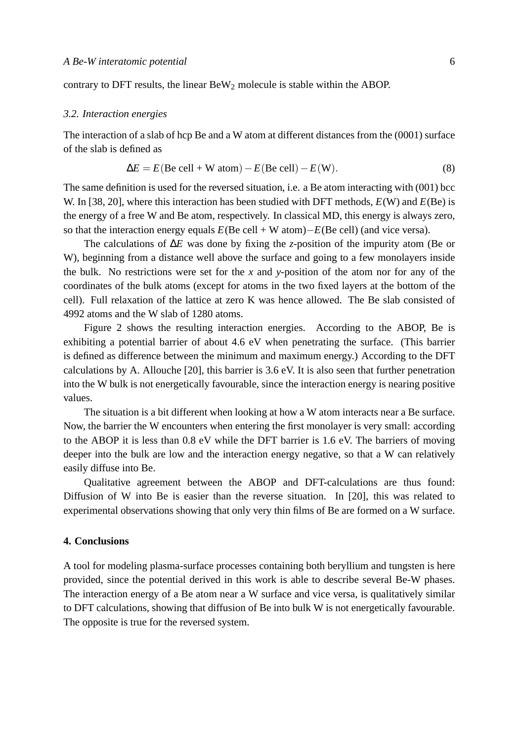contrary to DFT results, the linear  $BeW<sub>2</sub>$  molecule is stable within the ABOP.

## *3.2. Interaction energies*

The interaction of a slab of hcp Be and a W atom at different distances from the (0001) surface of the slab is defined as

$$
\Delta E = E(\text{Be cell} + \text{W atom}) - E(\text{Be cell}) - E(\text{W}).
$$
\n(8)

The same definition is used for the reversed situation, i.e. a Be atom interacting with (001) bcc W. In [38, 20], where this interaction has been studied with DFT methods, *E*(W) and *E*(Be) is the energy of a free W and Be atom, respectively. In classical MD, this energy is always zero, so that the interaction energy equals *E*(Be cell + W atom)−*E*(Be cell) (and vice versa).

The calculations of ∆*E* was done by fixing the *z*-position of the impurity atom (Be or W), beginning from a distance well above the surface and going to a few monolayers inside the bulk. No restrictions were set for the *x* and *y*-position of the atom nor for any of the coordinates of the bulk atoms (except for atoms in the two fixed layers at the bottom of the cell). Full relaxation of the lattice at zero K was hence allowed. The Be slab consisted of 4992 atoms and the W slab of 1280 atoms.

Figure 2 shows the resulting interaction energies. According to the ABOP, Be is exhibiting a potential barrier of about 4.6 eV when penetrating the surface. (This barrier is defined as difference between the minimum and maximum energy.) According to the DFT calculations by A. Allouche [20], this barrier is 3.6 eV. It is also seen that further penetration into the W bulk is not energetically favourable, since the interaction energy is nearing positive values.

The situation is a bit different when looking at how a W atom interacts near a Be surface. Now, the barrier the W encounters when entering the first monolayer is very small: according to the ABOP it is less than 0.8 eV while the DFT barrier is 1.6 eV. The barriers of moving deeper into the bulk are low and the interaction energy negative, so that a W can relatively easily diffuse into Be.

Qualitative agreement between the ABOP and DFT-calculations are thus found: Diffusion of W into Be is easier than the reverse situation. In [20], this was related to experimental observations showing that only very thin films of Be are formed on a W surface.

## **4. Conclusions**

A tool for modeling plasma-surface processes containing both beryllium and tungsten is here provided, since the potential derived in this work is able to describe several Be-W phases. The interaction energy of a Be atom near a W surface and vice versa, is qualitatively similar to DFT calculations, showing that diffusion of Be into bulk W is not energetically favourable. The opposite is true for the reversed system.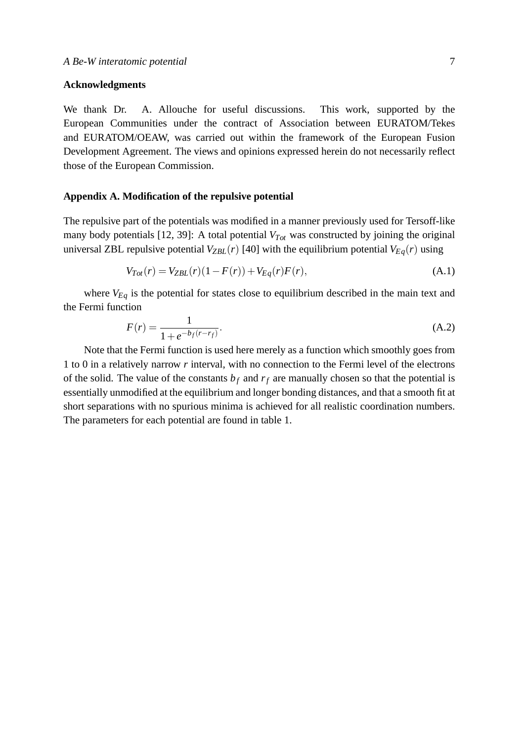# **Acknowledgments**

We thank Dr. A. Allouche for useful discussions. This work, supported by the European Communities under the contract of Association between EURATOM/Tekes and EURATOM/OEAW, was carried out within the framework of the European Fusion Development Agreement. The views and opinions expressed herein do not necessarily reflect those of the European Commission.

## **Appendix A. Modification of the repulsive potential**

The repulsive part of the potentials was modified in a manner previously used for Tersoff-like many body potentials [12, 39]: A total potential *VTot* was constructed by joining the original universal ZBL repulsive potential  $V_{ZBL}(r)$  [40] with the equilibrium potential  $V_{Eq}(r)$  using

$$
V_{Tot}(r) = V_{ZBL}(r)(1 - F(r)) + V_{Eq}(r)F(r),
$$
\n(A.1)

where  $V_{Eq}$  is the potential for states close to equilibrium described in the main text and the Fermi function

$$
F(r) = \frac{1}{1 + e^{-b_f(r - r_f)}}.
$$
\n(A.2)

Note that the Fermi function is used here merely as a function which smoothly goes from 1 to 0 in a relatively narrow *r* interval, with no connection to the Fermi level of the electrons of the solid. The value of the constants  $b_f$  and  $r_f$  are manually chosen so that the potential is essentially unmodified at the equilibrium and longer bonding distances, and that a smooth fit at short separations with no spurious minima is achieved for all realistic coordination numbers. The parameters for each potential are found in table 1.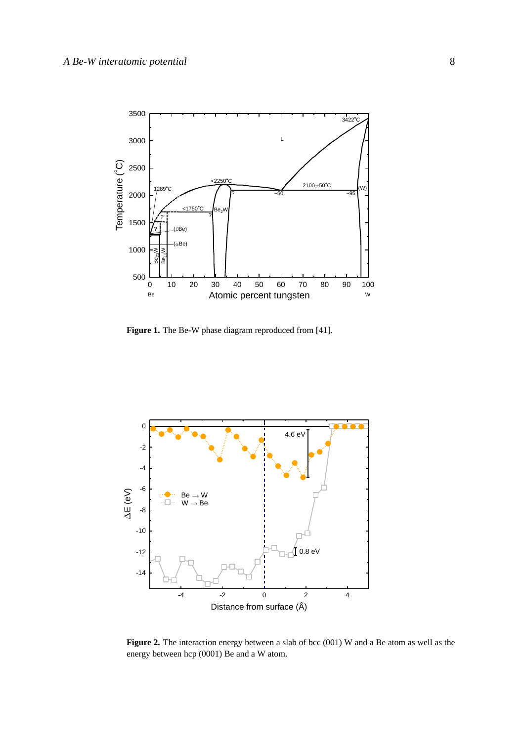

Figure 1. The Be-W phase diagram reproduced from [41].



Figure 2. The interaction energy between a slab of bcc (001) W and a Be atom as well as the energy between hcp (0001) Be and a W atom.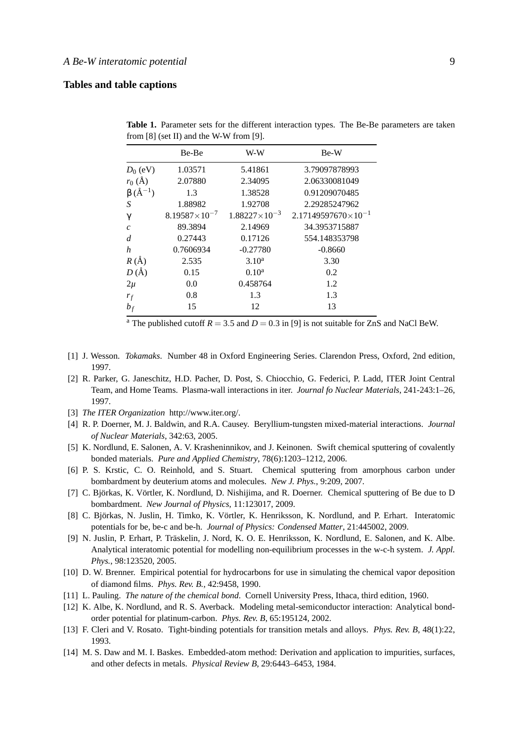# **Tables and table captions**

|                        | Be-Be                  | W-W                    | Be-W                         |
|------------------------|------------------------|------------------------|------------------------------|
| $D_0$ (eV)             | 1.03571                | 5.41861                | 3.79097878993                |
| $r_0$ (Å)              | 2.07880                | 2.34095                | 2.06330081049                |
| $\beta$ ( $\AA^{-1}$ ) | 1.3                    | 1.38528                | 0.91209070485                |
| S                      | 1.88982                | 1.92708                | 2.29285247962                |
| $\gamma$               | $8.19587\times10^{-7}$ | $1.88227\times10^{-3}$ | $2.17149597670\times10^{-1}$ |
| $\mathcal{C}_{0}$      | 89.3894                | 2.14969                | 34.3953715887                |
| d                      | 0.27443                | 0.17126                | 554.148353798                |
| h                      | 0.7606934              | $-0.27780$             | $-0.8660$                    |
| $R(\AA)$               | 2.535                  | 3.10 <sup>a</sup>      | 3.30                         |
| $D(\AA)$               | 0.15                   | $0.10^a$               | 0.2                          |
| $2\mu$                 | 0.0                    | 0.458764               | 1.2                          |
| $r_f$                  | 0.8                    | 1.3                    | 1.3                          |
| $b_f$                  | 15                     | 12                     | 13                           |

**Table 1.** Parameter sets for the different interaction types. The Be-Be parameters are taken from [8] (set II) and the W-W from [9].

<sup>a</sup> The published cutoff  $R = 3.5$  and  $D = 0.3$  in [9] is not suitable for ZnS and NaCl BeW.

- [1] J. Wesson. *Tokamaks*. Number 48 in Oxford Engineering Series. Clarendon Press, Oxford, 2nd edition, 1997.
- [2] R. Parker, G. Janeschitz, H.D. Pacher, D. Post, S. Chiocchio, G. Federici, P. Ladd, ITER Joint Central Team, and Home Teams. Plasma-wall interactions in iter. *Journal fo Nuclear Materials*, 241-243:1–26, 1997.
- [3] *The ITER Organization* http://www.iter.org/.
- [4] R. P. Doerner, M. J. Baldwin, and R.A. Causey. Beryllium-tungsten mixed-material interactions. *Journal of Nuclear Materials*, 342:63, 2005.
- [5] K. Nordlund, E. Salonen, A. V. Krasheninnikov, and J. Keinonen. Swift chemical sputtering of covalently bonded materials. *Pure and Applied Chemistry*, 78(6):1203–1212, 2006.
- [6] P. S. Krstic, C. O. Reinhold, and S. Stuart. Chemical sputtering from amorphous carbon under bombardment by deuterium atoms and molecules. *New J. Phys.*, 9:209, 2007.
- [7] C. Björkas, K. Vörtler, K. Nordlund, D. Nishijima, and R. Doerner. Chemical sputtering of Be due to D bombardment. *New Journal of Physics*, 11:123017, 2009.
- [8] C. Björkas, N. Juslin, H. Timko, K. Vörtler, K. Henriksson, K. Nordlund, and P. Erhart. Interatomic potentials for be, be-c and be-h. *Journal of Physics: Condensed Matter*, 21:445002, 2009.
- [9] N. Juslin, P. Erhart, P. Träskelin, J. Nord, K. O. E. Henriksson, K. Nordlund, E. Salonen, and K. Albe. Analytical interatomic potential for modelling non-equilibrium processes in the w-c-h system. *J. Appl. Phys.*, 98:123520, 2005.
- [10] D. W. Brenner. Empirical potential for hydrocarbons for use in simulating the chemical vapor deposition of diamond films. *Phys. Rev. B.*, 42:9458, 1990.
- [11] L. Pauling. *The nature of the chemical bond*. Cornell University Press, Ithaca, third edition, 1960.
- [12] K. Albe, K. Nordlund, and R. S. Averback. Modeling metal-semiconductor interaction: Analytical bondorder potential for platinum-carbon. *Phys. Rev. B*, 65:195124, 2002.
- [13] F. Cleri and V. Rosato. Tight-binding potentials for transition metals and alloys. *Phys. Rev. B*, 48(1):22, 1993.
- [14] M. S. Daw and M. I. Baskes. Embedded-atom method: Derivation and application to impurities, surfaces, and other defects in metals. *Physical Review B*, 29:6443–6453, 1984.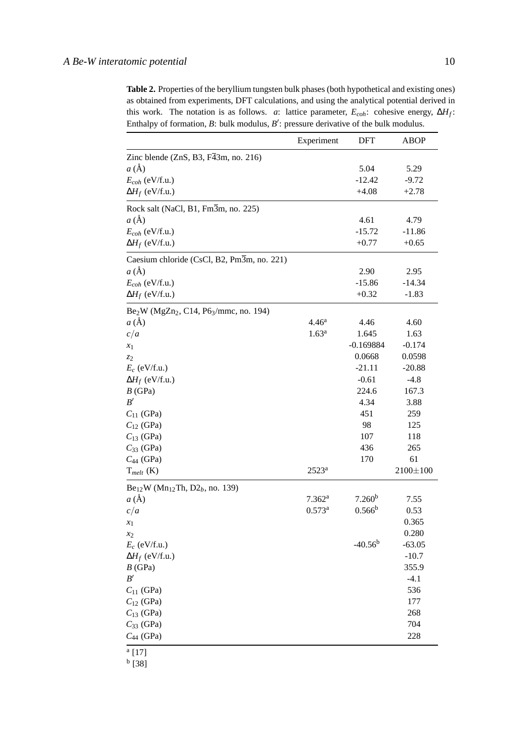**Table 2.** Properties of the beryllium tungsten bulk phases (both hypothetical and existing ones) as obtained from experiments, DFT calculations, and using the analytical potential derived in this work. The notation is as follows. *a*: lattice parameter,  $E_{coh}$ : cohesive energy,  $\Delta H_f$ : Enthalpy of formation, *B*: bulk modulus, *B*': pressure derivative of the bulk modulus.

|                                                             | Experiment         | DFT                | <b>ABOP</b>    |
|-------------------------------------------------------------|--------------------|--------------------|----------------|
| Zinc blende $(ZnS, B3, F43m, no. 216)$                      |                    |                    |                |
| $a(\AA)$                                                    |                    | 5.04               | 5.29           |
| $E_{coh}$ (eV/f.u.)                                         |                    | $-12.42$           | $-9.72$        |
| $\Delta H_f$ (eV/f.u.)                                      |                    | $+4.08$            | $+2.78$        |
| Rock salt (NaCl, B1, Fm3m, no. 225)                         |                    |                    |                |
| $a(\AA)$                                                    |                    | 4.61               | 4.79           |
| $E_{coh}$ (eV/f.u.)                                         |                    | $-15.72$           | $-11.86$       |
| $\Delta H_f$ (eV/f.u.)                                      |                    | $+0.77$            | $+0.65$        |
| Caesium chloride (CsCl, B2, Pm3m, no. 221)                  |                    |                    |                |
| a(A)                                                        |                    | 2.90               | 2.95           |
| $E_{coh}$ (eV/f.u.)                                         |                    | $-15.86$           | $-14.34$       |
| $\Delta H_f$ (eV/f.u.)                                      |                    | $+0.32$            | $-1.83$        |
| $Be2W (MgZn2, C14, P63/mmc, no. 194)$                       |                    |                    |                |
| a(A)                                                        | 4.46 <sup>a</sup>  | 4.46               | 4.60           |
| c/a                                                         | 1.63 <sup>a</sup>  | 1.645              | 1.63           |
| $x_1$                                                       |                    | $-0.169884$        | $-0.174$       |
| Z <sub>2</sub>                                              |                    | 0.0668             | 0.0598         |
| $E_c$ (eV/f.u.)                                             |                    | $-21.11$           | $-20.88$       |
| $\Delta H_f$ (eV/f.u.)                                      |                    | $-0.61$            | $-4.8$         |
| B(GPa)                                                      |                    | 224.6              | 167.3          |
| B'                                                          |                    | 4.34               | 3.88           |
| $C_{11}$ (GPa)                                              |                    | 451                | 259            |
| $C_{12}$ (GPa)                                              |                    | 98                 | 125            |
| $C_{13}$ (GPa)                                              |                    | 107                | 118            |
| $C_{33}$ (GPa)                                              |                    | 436                | 265            |
| $C_{44}$ (GPa)                                              |                    | 170                | 61             |
| $T_{melt}$ (K)                                              | $2523^a$           |                    | $2100 \pm 100$ |
| $Be_{12}W$ (Mn <sub>12</sub> Th, D <sub>2</sub> b, no. 139) |                    |                    |                |
| a(A)                                                        | 7.362 <sup>a</sup> | 7.260 <sup>b</sup> | 7.55           |
| c/a                                                         | $0.573^a$          | $0.566^{\rm b}$    | 0.53           |
| $x_1$                                                       |                    |                    | 0.365          |
| $x_2$                                                       |                    |                    | 0.280          |
| $E_c$ (eV/f.u.)                                             |                    | $-40.56^{b}$       | $-63.05$       |
| $\Delta H_f$ (eV/f.u.)                                      |                    |                    | $-10.7$        |
| B(GPa)                                                      |                    |                    | 355.9          |
| B'                                                          |                    |                    | $-4.1$         |
| $C_{11}$ (GPa)                                              |                    |                    | 536            |
| $C_{12}$ (GPa)                                              |                    |                    | 177            |
| $C_{13}$ (GPa)                                              |                    |                    | 268            |
|                                                             |                    |                    | 704            |
| $C_{33}$ (GPa)<br>$C_{44}$ (GPa)                            |                    |                    | 228            |
|                                                             |                    |                    |                |
| a[17]                                                       |                    |                    |                |

b [38]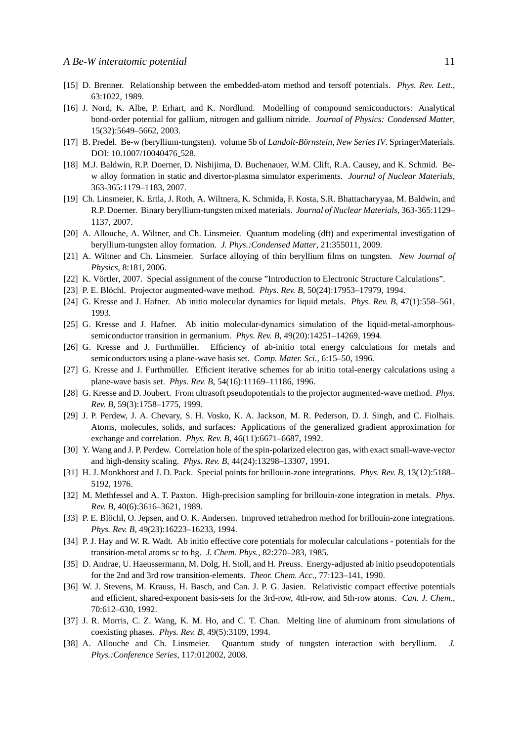- [15] D. Brenner. Relationship between the embedded-atom method and tersoff potentials. *Phys. Rev. Lett.*, 63:1022, 1989.
- [16] J. Nord, K. Albe, P. Erhart, and K. Nordlund. Modelling of compound semiconductors: Analytical bond-order potential for gallium, nitrogen and gallium nitride. *Journal of Physics: Condensed Matter*, 15(32):5649–5662, 2003.
- [17] B. Predel. Be-w (beryllium-tungsten). volume 5b of *Landolt-Börnstein, New Series IV*. SpringerMaterials. DOI: 10.1007/10040476\_528.
- [18] M.J. Baldwin, R.P. Doerner, D. Nishijima, D. Buchenauer, W.M. Clift, R.A. Causey, and K. Schmid. Bew alloy formation in static and divertor-plasma simulator experiments. *Journal of Nuclear Materials*, 363-365:1179–1183, 2007.
- [19] Ch. Linsmeier, K. Ertla, J. Roth, A. Wiltnera, K. Schmida, F. Kosta, S.R. Bhattacharyyaa, M. Baldwin, and R.P. Doerner. Binary beryllium-tungsten mixed materials. *Journal of Nuclear Materials*, 363-365:1129– 1137, 2007.
- [20] A. Allouche, A. Wiltner, and Ch. Linsmeier. Quantum modeling (dft) and experimental investigation of beryllium-tungsten alloy formation. *J. Phys.:Condensed Matter*, 21:355011, 2009.
- [21] A. Wiltner and Ch. Linsmeier. Surface alloying of thin beryllium films on tungsten. *New Journal of Physics*, 8:181, 2006.
- [22] K. Vörtler, 2007. Special assignment of the course "Introduction to Electronic Structure Calculations".
- [23] P. E. Blöchl. Projector augmented-wave method. *Phys. Rev. B*, 50(24):17953–17979, 1994.
- [24] G. Kresse and J. Hafner. Ab initio molecular dynamics for liquid metals. *Phys. Rev. B*, 47(1):558–561, 1993.
- [25] G. Kresse and J. Hafner. Ab initio molecular-dynamics simulation of the liquid-metal-amorphoussemiconductor transition in germanium. *Phys. Rev. B*, 49(20):14251–14269, 1994.
- [26] G. Kresse and J. Furthmüller. Efficiency of ab-initio total energy calculations for metals and semiconductors using a plane-wave basis set. *Comp. Mater. Sci.*, 6:15–50, 1996.
- [27] G. Kresse and J. Furthmüller. Efficient iterative schemes for ab initio total-energy calculations using a plane-wave basis set. *Phys. Rev. B*, 54(16):11169–11186, 1996.
- [28] G. Kresse and D. Joubert. From ultrasoft pseudopotentials to the projector augmented-wave method. *Phys. Rev. B*, 59(3):1758–1775, 1999.
- [29] J. P. Perdew, J. A. Chevary, S. H. Vosko, K. A. Jackson, M. R. Pederson, D. J. Singh, and C. Fiolhais. Atoms, molecules, solids, and surfaces: Applications of the generalized gradient approximation for exchange and correlation. *Phys. Rev. B*, 46(11):6671–6687, 1992.
- [30] Y. Wang and J. P. Perdew. Correlation hole of the spin-polarized electron gas, with exact small-wave-vector and high-density scaling. *Phys. Rev. B*, 44(24):13298–13307, 1991.
- [31] H. J. Monkhorst and J. D. Pack. Special points for brillouin-zone integrations. *Phys. Rev. B*, 13(12):5188– 5192, 1976.
- [32] M. Methfessel and A. T. Paxton. High-precision sampling for brillouin-zone integration in metals. *Phys. Rev. B*, 40(6):3616–3621, 1989.
- [33] P. E. Blöchl, O. Jepsen, and O. K. Andersen. Improved tetrahedron method for brillouin-zone integrations. *Phys. Rev. B*, 49(23):16223–16233, 1994.
- [34] P. J. Hay and W. R. Wadt. Ab initio effective core potentials for molecular calculations potentials for the transition-metal atoms sc to hg. *J. Chem. Phys.*, 82:270–283, 1985.
- [35] D. Andrae, U. Haeussermann, M. Dolg, H. Stoll, and H. Preuss. Energy-adjusted ab initio pseudopotentials for the 2nd and 3rd row transition-elements. *Theor. Chem. Acc.*, 77:123–141, 1990.
- [36] W. J. Stevens, M. Krauss, H. Basch, and Can. J. P. G. Jasien. Relativistic compact effective potentials and efficient, shared-exponent basis-sets for the 3rd-row, 4th-row, and 5th-row atoms. *Can. J. Chem.*, 70:612–630, 1992.
- [37] J. R. Morris, C. Z. Wang, K. M. Ho, and C. T. Chan. Melting line of aluminum from simulations of coexisting phases. *Phys. Rev. B*, 49(5):3109, 1994.
- [38] A. Allouche and Ch. Linsmeier. Quantum study of tungsten interaction with beryllium. *J. Phys.:Conference Series*, 117:012002, 2008.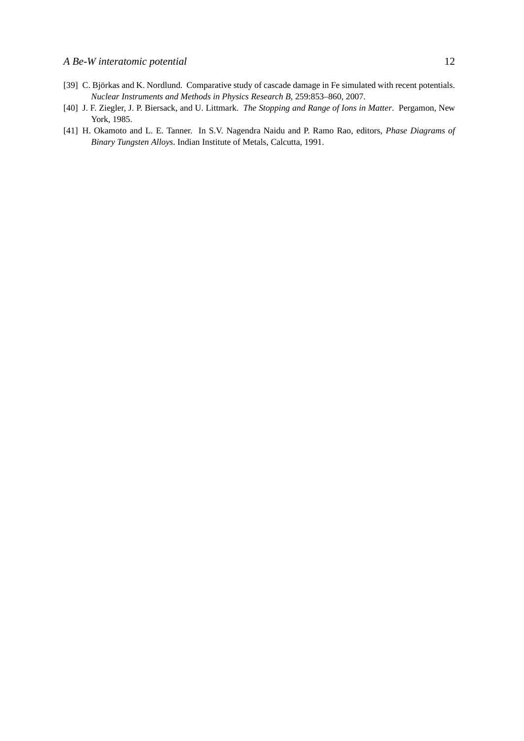- [39] C. Björkas and K. Nordlund. Comparative study of cascade damage in Fe simulated with recent potentials. *Nuclear Instruments and Methods in Physics Research B*, 259:853–860, 2007.
- [40] J. F. Ziegler, J. P. Biersack, and U. Littmark. *The Stopping and Range of Ions in Matter*. Pergamon, New York, 1985.
- [41] H. Okamoto and L. E. Tanner. In S.V. Nagendra Naidu and P. Ramo Rao, editors, *Phase Diagrams of Binary Tungsten Alloys*. Indian Institute of Metals, Calcutta, 1991.